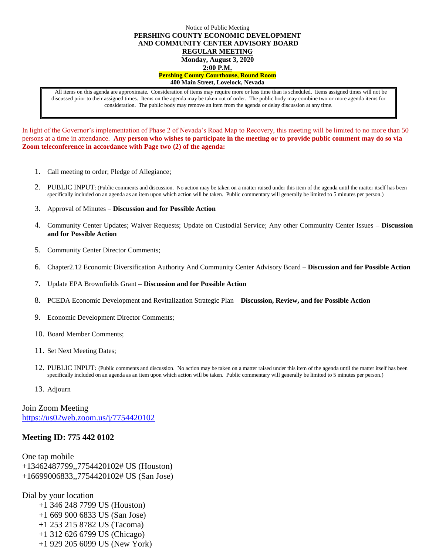## Notice of Public Meeting **PERSHING COUNTY ECONOMIC DEVELOPMENT AND COMMUNITY CENTER ADVISORY BOARD REGULAR MEETING Monday, August 3, 2020 2:00 P.M. Pershing County Courthouse, Round Room 400 Main Street, Lovelock, Nevada**

All items on this agenda are approximate. Consideration of items may require more or less time than is scheduled. Items assigned times will not be discussed prior to their assigned times. Items on the agenda may be taken out of order. The public body may combine two or more agenda items for consideration. The public body may remove an item from the agenda or delay discussion at any time.

In light of the Governor's implementation of Phase 2 of Nevada's Road Map to Recovery, this meeting will be limited to no more than 50 persons at a time in attendance. **Any person who wishes to participate in the meeting or to provide public comment may do so via Zoom teleconference in accordance with Page two (2) of the agenda:** 

- 1. Call meeting to order; Pledge of Allegiance;
- 2. PUBLIC INPUT: (Public comments and discussion. No action may be taken on a matter raised under this item of the agenda until the matter itself has been specifically included on an agenda as an item upon which action will be taken. Public commentary will generally be limited to 5 minutes per person.)
- 3. Approval of Minutes **Discussion and for Possible Action**
- 4. Community Center Updates; Waiver Requests; Update on Custodial Service; Any other Community Center Issues **– Discussion and for Possible Action**
- 5. Community Center Director Comments;
- 6. Chapter2.12 Economic Diversification Authority And Community Center Advisory Board **Discussion and for Possible Action**
- 7. Update EPA Brownfields Grant **– Discussion and for Possible Action**
- 8. PCEDA Economic Development and Revitalization Strategic Plan **Discussion, Review, and for Possible Action**
- 9. Economic Development Director Comments;
- 10. Board Member Comments;
- 11. Set Next Meeting Dates;
- 12. PUBLIC INPUT: (Public comments and discussion. No action may be taken on a matter raised under this item of the agenda until the matter itself has been specifically included on an agenda as an item upon which action will be taken. Public commentary will generally be limited to 5 minutes per person.)
- 13. Adjourn

Join Zoom Meeting <https://us02web.zoom.us/j/7754420102>

## **Meeting ID: 775 442 0102**

One tap mobile +13462487799,,7754420102# US (Houston) +16699006833,,7754420102# US (San Jose)

Dial by your location

 +1 346 248 7799 US (Houston) +1 669 900 6833 US (San Jose) +1 253 215 8782 US (Tacoma) +1 312 626 6799 US (Chicago)

+1 929 205 6099 US (New York)